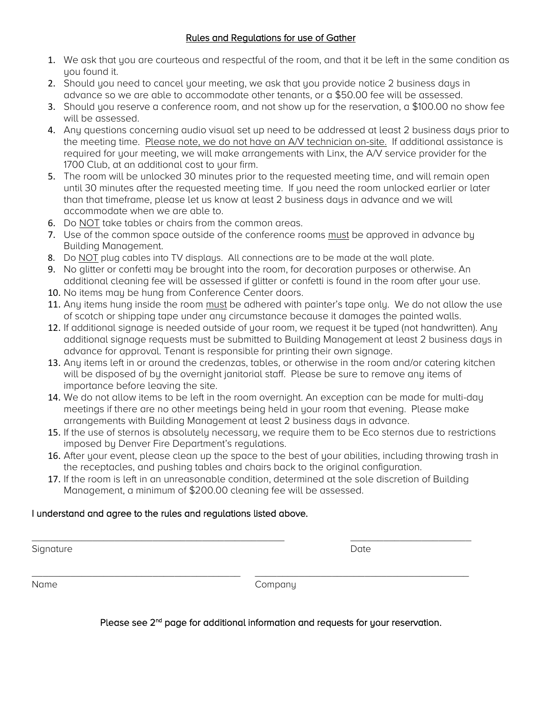# Rules and Regulations for use of Gather

- 1. We ask that you are courteous and respectful of the room, and that it be left in the same condition as you found it.
- 2. Should you need to cancel your meeting, we ask that you provide notice 2 business days in advance so we are able to accommodate other tenants, or a \$50.00 fee will be assessed.
- 3. Should you reserve a conference room, and not show up for the reservation, a \$100.00 no show fee will be assessed.
- 4. Any questions concerning audio visual set up need to be addressed at least 2 business days prior to the meeting time. Please note, we do not have an A/V technician on-site. If additional assistance is required for your meeting, we will make arrangements with Linx, the A/V service provider for the 1700 Club, at an additional cost to your firm.
- 5. The room will be unlocked 30 minutes prior to the requested meeting time, and will remain open until 30 minutes after the requested meeting time. If you need the room unlocked earlier or later than that timeframe, please let us know at least 2 business days in advance and we will accommodate when we are able to.
- 6. Do NOT take tables or chairs from the common areas.
- 7. Use of the common space outside of the conference rooms must be approved in advance by Building Management.
- 8. Do NOT plug cables into TV displays. All connections are to be made at the wall plate.
- 9. No glitter or confetti may be brought into the room, for decoration purposes or otherwise. An additional cleaning fee will be assessed if glitter or confetti is found in the room after your use.
- 10. No items may be hung from Conference Center doors.
- 11. Any items hung inside the room must be adhered with painter's tape only. We do not allow the use of scotch or shipping tape under any circumstance because it damages the painted walls.
- 12. If additional signage is needed outside of your room, we request it be typed (not handwritten). Any additional signage requests must be submitted to Building Management at least 2 business days in advance for approval. Tenant is responsible for printing their own signage.
- 13. Any items left in or around the credenzas, tables, or otherwise in the room and/or catering kitchen will be disposed of by the overnight janitorial staff. Please be sure to remove any items of importance before leaving the site.
- 14. We do not allow items to be left in the room overnight. An exception can be made for multi-day meetings if there are no other meetings being held in your room that evening. Please make arrangements with Building Management at least 2 business days in advance.
- 15. If the use of sternos is absolutely necessary, we require them to be Eco sternos due to restrictions imposed by Denver Fire Department's regulations.
- 16. After your event, please clean up the space to the best of your abilities, including throwing trash in the receptacles, and pushing tables and chairs back to the original configuration.
- 17. If the room is left in an unreasonable condition, determined at the sole discretion of Building Management, a minimum of \$200.00 cleaning fee will be assessed.

 $\_$  , and the set of the set of the set of the set of the set of the set of the set of the set of the set of the set of the set of the set of the set of the set of the set of the set of the set of the set of the set of th

\_\_\_\_\_\_\_\_\_\_\_\_\_\_\_\_\_\_\_\_\_\_\_\_\_\_\_\_\_\_\_\_\_\_\_\_\_\_ \_\_\_\_\_\_\_\_\_\_\_\_\_\_\_\_\_\_\_\_\_\_\_\_\_\_\_\_\_\_\_\_\_\_\_\_\_\_\_

# I understand and agree to the rules and regulations listed above.

Signature Date Date of the Date of the Date of the Date of the Date of the Date of the Date of the Date of the Date of the Date of the Date of the Date of the Date of the Date of the Date of the Date of the Date of the Dat

Name Company

Please see 2<sup>nd</sup> page for additional information and requests for your reservation.